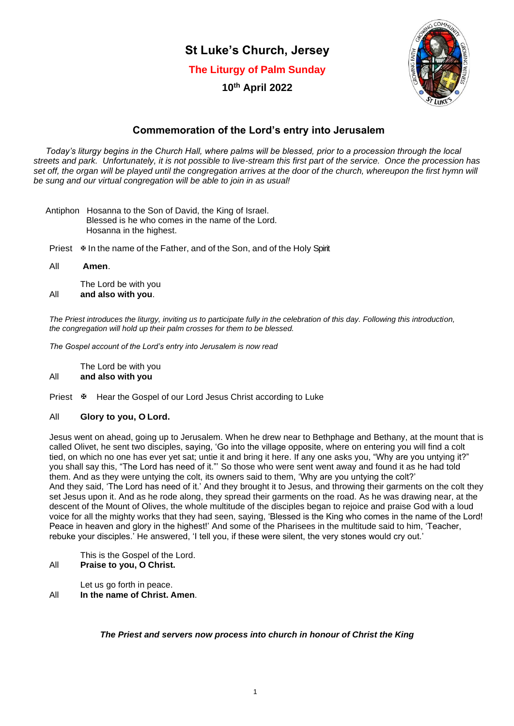# **St Luke's Church, Jersey**

# **The Liturgy of Palm Sunday**

**10th April 2022**



# **Commemoration of the Lord's entry into Jerusalem**

 *Today's liturgy begins in the Church Hall, where palms will be blessed, prior to a procession through the local streets and park. Unfortunately, it is not possible to live-stream this first part of the service. Once the procession has*  set off, the organ will be played until the congregation arrives at the door of the church, whereupon the first hymn will *be sung and our virtual congregation will be able to join in as usual!*

 Antiphon Hosanna to the Son of David, the King of Israel. Blessed is he who comes in the name of the Lord. Hosanna in the highest.

Priest  $\Phi$  In the name of the Father, and of the Son, and of the Holy Spirit

All **Amen**.

The Lord be with you

All **and also with you**.

*The Priest introduces the liturgy, inviting us to participate fully in the celebration of this day. Following this introduction, the congregation will hold up their palm crosses for them to be blessed.*

*The Gospel account of the Lord's entry into Jerusalem is now read*

The Lord be with you All **and also with you**

Priest  $\mathbb F$  Hear the Gospel of our Lord Jesus Christ according to Luke

### All **Glory to you, O Lord.**

Jesus went on ahead, going up to Jerusalem. When he drew near to Bethphage and Bethany, at the mount that is called Olivet, he sent two disciples, saying, 'Go into the village opposite, where on entering you will find a colt tied, on which no one has ever yet sat; untie it and bring it here. If any one asks you, "Why are you untying it?" you shall say this, "The Lord has need of it."' So those who were sent went away and found it as he had told them. And as they were untying the colt, its owners said to them, 'Why are you untying the colt?' And they said, 'The Lord has need of it.' And they brought it to Jesus, and throwing their garments on the colt they set Jesus upon it. And as he rode along, they spread their garments on the road. As he was drawing near, at the descent of the Mount of Olives, the whole multitude of the disciples began to rejoice and praise God with a loud voice for all the mighty works that they had seen, saying, 'Blessed is the King who comes in the name of the Lord! Peace in heaven and glory in the highest!' And some of the Pharisees in the multitude said to him, 'Teacher, rebuke your disciples.' He answered, 'I tell you, if these were silent, the very stones would cry out.'

This is the Gospel of the Lord.

All **Praise to you, O Christ.**

Let us go forth in peace.

All **In the name of Christ. Amen**.

*The Priest and servers now process into church in honour of Christ the King*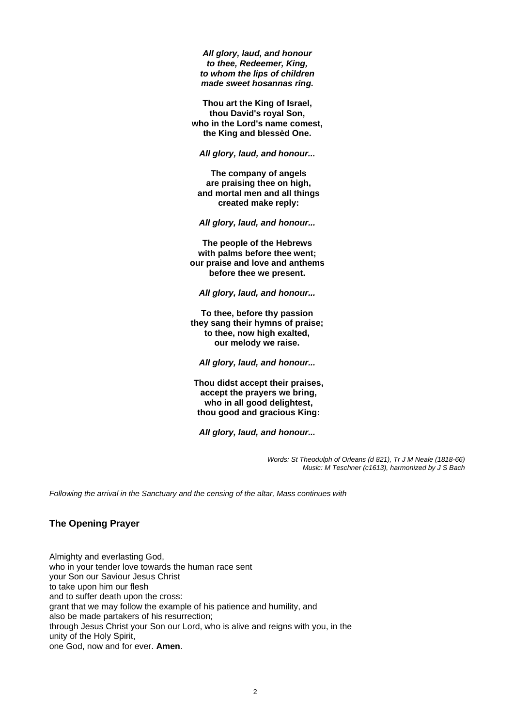*All glory, laud, and honour to thee, Redeemer, King, to whom the lips of children made sweet hosannas ring.*

**Thou art the King of Israel, thou David's royal Son, who in the Lord's name comest, the King and blessèd One.**

*All glory, laud, and honour...*

**The company of angels are praising thee on high, and mortal men and all things created make reply:**

*All glory, laud, and honour...*

**The people of the Hebrews with palms before thee went; our praise and love and anthems before thee we present.**

*All glory, laud, and honour...*

**To thee, before thy passion they sang their hymns of praise; to thee, now high exalted, our melody we raise.**

*All glory, laud, and honour...*

**Thou didst accept their praises, accept the prayers we bring, who in all good delightest, thou good and gracious King:**

*All glory, laud, and honour...*

*Words: St Theodulph of Orleans (d 821), Tr J M Neale (1818-66) Music: M Teschner (c1613), harmonized by J S Bach*

*Following the arrival in the Sanctuary and the censing of the altar, Mass continues with*

### **The Opening Prayer**

Almighty and everlasting God, who in your tender love towards the human race sent your Son our Saviour Jesus Christ to take upon him our flesh and to suffer death upon the cross: grant that we may follow the example of his patience and humility, and also be made partakers of his resurrection; through Jesus Christ your Son our Lord, who is alive and reigns with you, in the unity of the Holy Spirit, one God, now and for ever. **Amen**.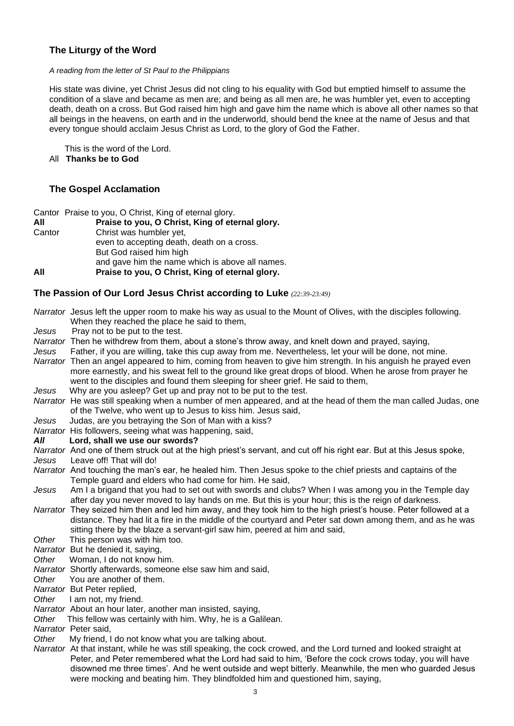# **The Liturgy of the Word**

#### *A reading from the letter of St Paul to the Philippians*

His state was divine, yet Christ Jesus did not cling to his equality with God but emptied himself to assume the condition of a slave and became as men are; and being as all men are, he was humbler yet, even to accepting death, death on a cross. But God raised him high and gave him the name which is above all other names so that all beings in the heavens, on earth and in the underworld, should bend the knee at the name of Jesus and that every tongue should acclaim Jesus Christ as Lord, to the glory of God the Father.

This is the word of the Lord.

# All **Thanks be to God**

# **The Gospel Acclamation**

Cantor Praise to you, O Christ, King of eternal glory.

| All    | Praise to you, O Christ, King of eternal glory. |
|--------|-------------------------------------------------|
| Cantor | Christ was humbler yet,                         |
|        | even to accepting death, death on a cross.      |
|        | But God raised him high                         |
|        | and gave him the name which is above all names. |
| All    | Praise to you, O Christ, King of eternal glory. |

## **The Passion of Our Lord Jesus Christ according to Luke** *(22:39-23:49)*

- *Narrator* Jesus left the upper room to make his way as usual to the Mount of Olives, with the disciples following. When they reached the place he said to them,
- *Jesus* Pray not to be put to the test.
- *Narrator* Then he withdrew from them, about a stone's throw away, and knelt down and prayed, saying,
- *Jesus* Father, if you are willing, take this cup away from me. Nevertheless, let your will be done, not mine.
- *Narrator* Then an angel appeared to him, coming from heaven to give him strength. In his anguish he prayed even more earnestly, and his sweat fell to the ground like great drops of blood. When he arose from prayer he went to the disciples and found them sleeping for sheer grief. He said to them,

*Jesus* Why are you asleep? Get up and pray not to be put to the test.

- *Narrator* He was still speaking when a number of men appeared, and at the head of them the man called Judas, one of the Twelve, who went up to Jesus to kiss him. Jesus said,
- *Jesus* Judas, are you betraying the Son of Man with a kiss?
- *Narrator* His followers, seeing what was happening, said,

#### *All* **Lord, shall we use our swords?**

- *Narrator* And one of them struck out at the high priest's servant, and cut off his right ear. But at this Jesus spoke,
- *Jesus* Leave off! That will do!
- *Narrator* And touching the man's ear, he healed him. Then Jesus spoke to the chief priests and captains of the Temple guard and elders who had come for him. He said,
- *Jesus* Am I a brigand that you had to set out with swords and clubs? When I was among you in the Temple day after day you never moved to lay hands on me. But this is your hour; this is the reign of darkness.
- *Narrator* They seized him then and led him away, and they took him to the high priest's house. Peter followed at a distance. They had lit a fire in the middle of the courtyard and Peter sat down among them, and as he was sitting there by the blaze a servant-girl saw him, peered at him and said,
- *Other* This person was with him too.
- *Narrator* But he denied it, saying,
- *Other* Woman, I do not know him.
- *Narrator* Shortly afterwards, someone else saw him and said,
- *Other* You are another of them.
- *Narrator* But Peter replied,
- *Other* I am not, my friend.
- *Narrator* About an hour later, another man insisted, saying,
- *Other* This fellow was certainly with him. Why, he is a Galilean.
- *Narrator* Peter said,
- *Other* My friend, I do not know what you are talking about.
- *Narrator* At that instant, while he was still speaking, the cock crowed, and the Lord turned and looked straight at Peter, and Peter remembered what the Lord had said to him, 'Before the cock crows today, you will have disowned me three times'. And he went outside and wept bitterly. Meanwhile, the men who guarded Jesus were mocking and beating him. They blindfolded him and questioned him, saying,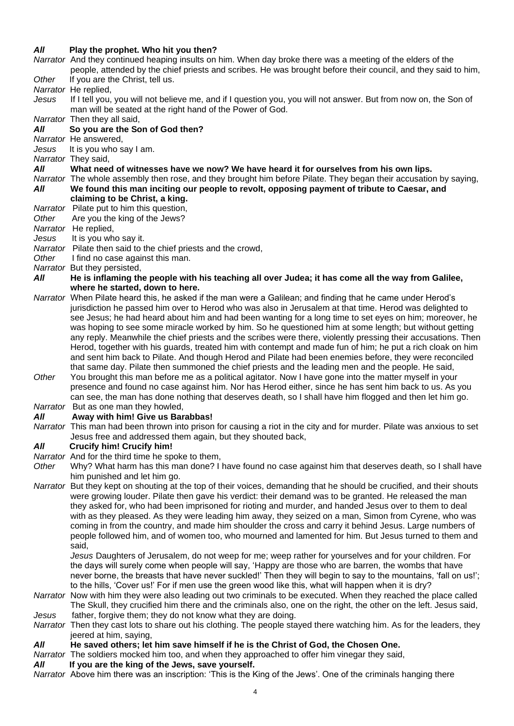### *All* **Play the prophet. Who hit you then?**

- *Narrator* And they continued heaping insults on him. When day broke there was a meeting of the elders of the people, attended by the chief priests and scribes. He was brought before their council, and they said to him,
- *Other* If you are the Christ, tell us.

*Narrator* He replied,

*Jesus* If I tell you, you will not believe me, and if I question you, you will not answer. But from now on, the Son of man will be seated at the right hand of the Power of God.

#### *Narrator* Then they all said, *All* **So you are the Son of God then?**

*Narrator* He answered,

*Jesus* It is you who say I am.

*Narrator* They said,

- *All* **What need of witnesses have we now? We have heard it for ourselves from his own lips.**
- *Narrator* The whole assembly then rose, and they brought him before Pilate. They began their accusation by saying, *All* **We found this man inciting our people to revolt, opposing payment of tribute to Caesar, and**

# **claiming to be Christ, a king.**

- *Narrator* Pilate put to him this question, *Other* Are you the king of the Jews?
- *Narrator* He replied,
- 

*Jesus* It is you who say it.

# *Narrator* Pilate then said to the chief priests and the crowd,

*Other* I find no case against this man.

*Narrator* But they persisted,

- *All* **He is inflaming the people with his teaching all over Judea; it has come all the way from Galilee, where he started, down to here.**
- *Narrator* When Pilate heard this, he asked if the man were a Galilean; and finding that he came under Herod's jurisdiction he passed him over to Herod who was also in Jerusalem at that time. Herod was delighted to see Jesus; he had heard about him and had been wanting for a long time to set eyes on him; moreover, he was hoping to see some miracle worked by him. So he questioned him at some length; but without getting any reply. Meanwhile the chief priests and the scribes were there, violently pressing their accusations. Then Herod, together with his guards, treated him with contempt and made fun of him; he put a rich cloak on him and sent him back to Pilate. And though Herod and Pilate had been enemies before, they were reconciled that same day. Pilate then summoned the chief priests and the leading men and the people. He said,
- *Other* You brought this man before me as a political agitator. Now I have gone into the matter myself in your presence and found no case against him. Nor has Herod either, since he has sent him back to us. As you can see, the man has done nothing that deserves death, so I shall have him flogged and then let him go.

*Narrator* But as one man they howled,

# *All* **Away with him! Give us Barabbas!**

*Narrator* This man had been thrown into prison for causing a riot in the city and for murder. Pilate was anxious to set Jesus free and addressed them again, but they shouted back,

#### *All* **Crucify him! Crucify him!**

*Narrator* And for the third time he spoke to them,

- *Other* Why? What harm has this man done? I have found no case against him that deserves death, so I shall have him punished and let him go.
- *Narrator* But they kept on shouting at the top of their voices, demanding that he should be crucified, and their shouts were growing louder. Pilate then gave his verdict: their demand was to be granted. He released the man they asked for, who had been imprisoned for rioting and murder, and handed Jesus over to them to deal with as they pleased. As they were leading him away, they seized on a man, Simon from Cyrene, who was coming in from the country, and made him shoulder the cross and carry it behind Jesus. Large numbers of people followed him, and of women too, who mourned and lamented for him. But Jesus turned to them and said,

*Jesus* Daughters of Jerusalem, do not weep for me; weep rather for yourselves and for your children. For the days will surely come when people will say, 'Happy are those who are barren, the wombs that have never borne, the breasts that have never suckled!' Then they will begin to say to the mountains, 'fall on us!'; to the hills, 'Cover us!' For if men use the green wood like this, what will happen when it is dry?

- *Narrator* Now with him they were also leading out two criminals to be executed. When they reached the place called The Skull, they crucified him there and the criminals also, one on the right, the other on the left. Jesus said, *Jesus* father, forgive them; they do not know what they are doing.
- *Narrator* Then they cast lots to share out his clothing. The people stayed there watching him. As for the leaders, they jeered at him, saying,

#### *All* **He saved others; let him save himself if he is the Christ of God, the Chosen One.**

- *Narrator* The soldiers mocked him too, and when they approached to offer him vinegar they said,
- *All* **If you are the king of the Jews, save yourself.**

*Narrator* Above him there was an inscription: 'This is the King of the Jews'. One of the criminals hanging there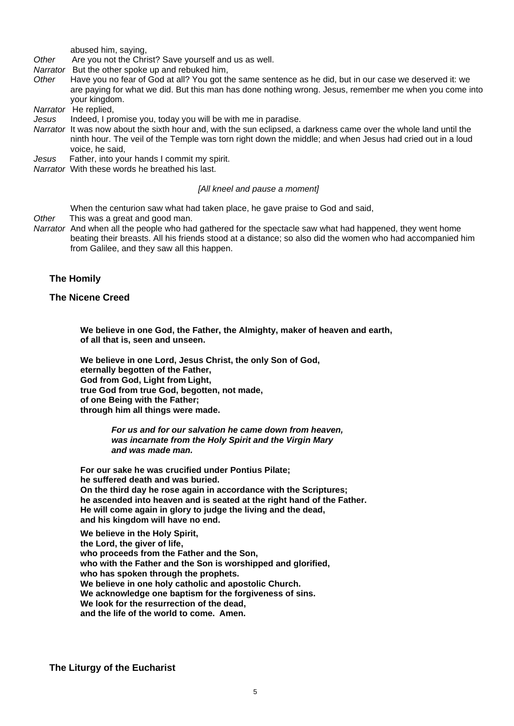abused him, saying,

- *Other* Are you not the Christ? Save yourself and us as well.
- *Narrator* But the other spoke up and rebuked him,
- Have you no fear of God at all? You got the same sentence as he did, but in our case we deserved it: we are paying for what we did. But this man has done nothing wrong. Jesus, remember me when you come into your kingdom.
- *Narrator* He replied,<br>*Jesus* Indeed, I pro
- Indeed, I promise you, today you will be with me in paradise.
- *Narrator* It was now about the sixth hour and, with the sun eclipsed, a darkness came over the whole land until the ninth hour. The veil of the Temple was torn right down the middle; and when Jesus had cried out in a loud voice, he said,
- *Jesus* Father, into your hands I commit my spirit.
- *Narrator* With these words he breathed his last.

#### *[All kneel and pause a moment]*

When the centurion saw what had taken place, he gave praise to God and said,

- *Other* This was a great and good man.
- *Narrator* And when all the people who had gathered for the spectacle saw what had happened, they went home beating their breasts. All his friends stood at a distance; so also did the women who had accompanied him from Galilee, and they saw all this happen.

# **The Homily**

## **The Nicene Creed**

**We believe in one God, the Father, the Almighty, maker of heaven and earth, of all that is, seen and unseen.**

**We believe in one Lord, Jesus Christ, the only Son of God, eternally begotten of the Father, God from God, Light from Light, true God from true God, begotten, not made, of one Being with the Father; through him all things were made.**

> *For us and for our salvation he came down from heaven, was incarnate from the Holy Spirit and the Virgin Mary and was made man.*

**For our sake he was crucified under Pontius Pilate; he suffered death and was buried. On the third day he rose again in accordance with the Scriptures; he ascended into heaven and is seated at the right hand of the Father. He will come again in glory to judge the living and the dead, and his kingdom will have no end.**

**We believe in the Holy Spirit, the Lord, the giver of life, who proceeds from the Father and the Son, who with the Father and the Son is worshipped and glorified, who has spoken through the prophets. We believe in one holy catholic and apostolic Church. We acknowledge one baptism for the forgiveness of sins. We look for the resurrection of the dead, and the life of the world to come. Amen.**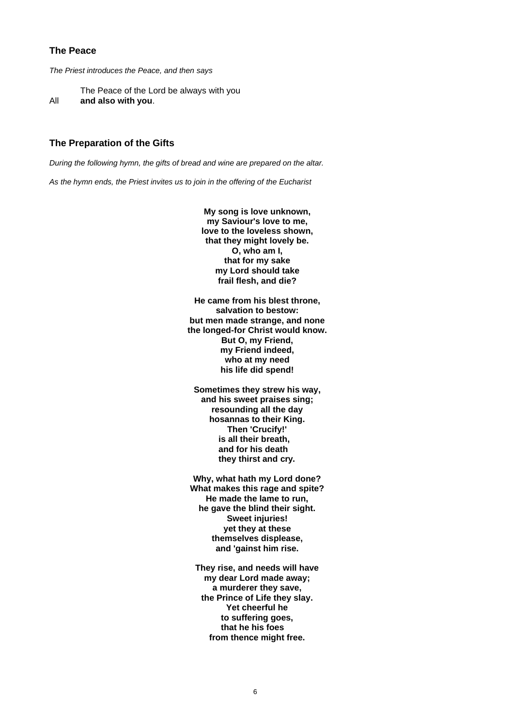### **The Peace**

*The Priest introduces the Peace, and then says*

The Peace of the Lord be always with you All **and also with you**.

#### **The Preparation of the Gifts**

*During the following hymn, the gifts of bread and wine are prepared on the altar.*

*As the hymn ends, the Priest invites us to join in the offering of the Eucharist*

**My song is love unknown, my Saviour's love to me, love to the loveless shown, that they might lovely be. O, who am I, that for my sake my Lord should take frail flesh, and die?**

**He came from his blest throne, salvation to bestow: but men made strange, and none the longed-for Christ would know. But O, my Friend, my Friend indeed, who at my need his life did spend!**

**Sometimes they strew his way, and his sweet praises sing; resounding all the day hosannas to their King. Then 'Crucify!' is all their breath, and for his death they thirst and cry.**

**Why, what hath my Lord done? What makes this rage and spite? He made the lame to run, he gave the blind their sight. Sweet injuries! yet they at these themselves displease, and 'gainst him rise.**

**They rise, and needs will have my dear Lord made away; a murderer they save, the Prince of Life they slay. Yet cheerful he to suffering goes, that he his foes from thence might free.**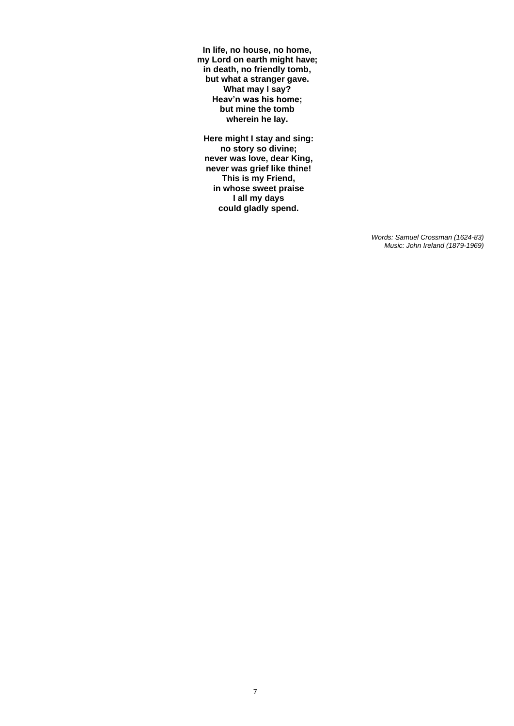**In life, no house, no home, my Lord on earth might have; in death, no friendly tomb, but what a stranger gave. What may I say? Heav'n was his home; but mine the tomb wherein he lay.**

**Here might I stay and sing: no story so divine; never was love, dear King, never was grief like thine! This is my Friend, in whose sweet praise I all my days could gladly spend.**

> *Words: Samuel Crossman (1624-83) Music: John Ireland (1879-1969)*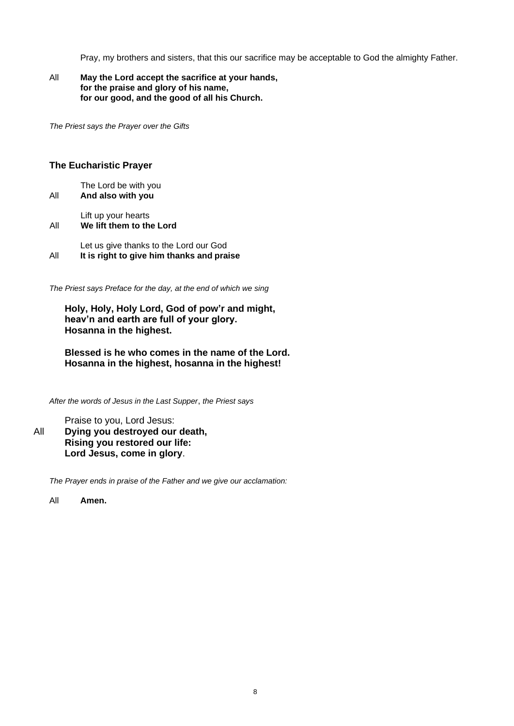Pray, my brothers and sisters, that this our sacrifice may be acceptable to God the almighty Father.

#### All **May the Lord accept the sacrifice at your hands, for the praise and glory of his name, for our good, and the good of all his Church.**

*The Priest says the Prayer over the Gifts*

## **The Eucharistic Prayer**

| All | The Lord be with you<br>And also with you                                           |
|-----|-------------------------------------------------------------------------------------|
| All | Lift up your hearts<br>We lift them to the Lord                                     |
| All | Let us give thanks to the Lord our God<br>It is right to give him thanks and praise |

*The Priest says Preface for the day, at the end of which we sing*

**Holy, Holy, Holy Lord, God of pow'r and might, heav'n and earth are full of your glory. Hosanna in the highest.**

**Blessed is he who comes in the name of the Lord. Hosanna in the highest, hosanna in the highest!**

*After the words of Jesus in the Last Supper*, *the Priest says*

Praise to you, Lord Jesus: All **Dying you destroyed our death, Rising you restored our life: Lord Jesus, come in glory**.

*The Prayer ends in praise of the Father and we give our acclamation:*

All **Amen.**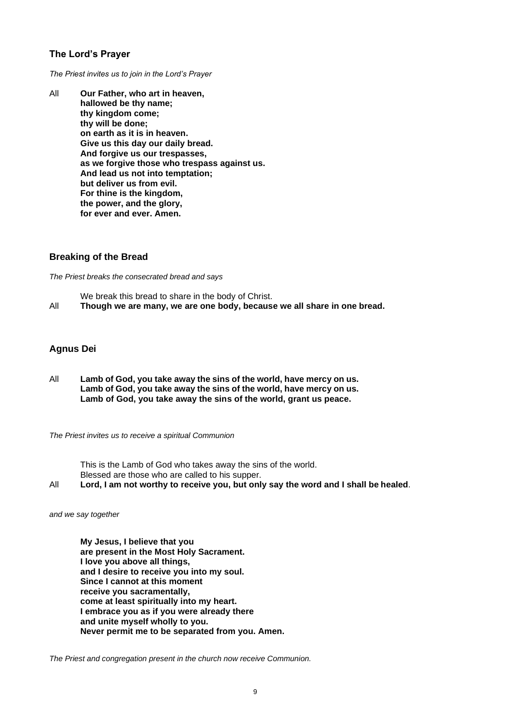### **The Lord's Prayer**

*The Priest invites us to join in the Lord's Prayer*

All **Our Father, who art in heaven, hallowed be thy name; thy kingdom come; thy will be done; on earth as it is in heaven. Give us this day our daily bread. And forgive us our trespasses, as we forgive those who trespass against us. And lead us not into temptation; but deliver us from evil. For thine is the kingdom, the power, and the glory, for ever and ever. Amen.**

## **Breaking of the Bread**

*The Priest breaks the consecrated bread and says*

We break this bread to share in the body of Christ.

All **Though we are many, we are one body, because we all share in one bread.**

## **Agnus Dei**

All **Lamb of God, you take away the sins of the world, have mercy on us. Lamb of God, you take away the sins of the world, have mercy on us. Lamb of God, you take away the sins of the world, grant us peace.**

*The Priest invites us to receive a spiritual Communion*

This is the Lamb of God who takes away the sins of the world. Blessed are those who are called to his supper.

All **Lord, I am not worthy to receive you, but only say the word and I shall be healed**.

*and we say together*

**My Jesus, I believe that you are present in the Most Holy Sacrament. I love you above all things, and I desire to receive you into my soul. Since I cannot at this moment receive you sacramentally, come at least spiritually into my heart. I embrace you as if you were already there and unite myself wholly to you. Never permit me to be separated from you. Amen.**

*The Priest and congregation present in the church now receive Communion.*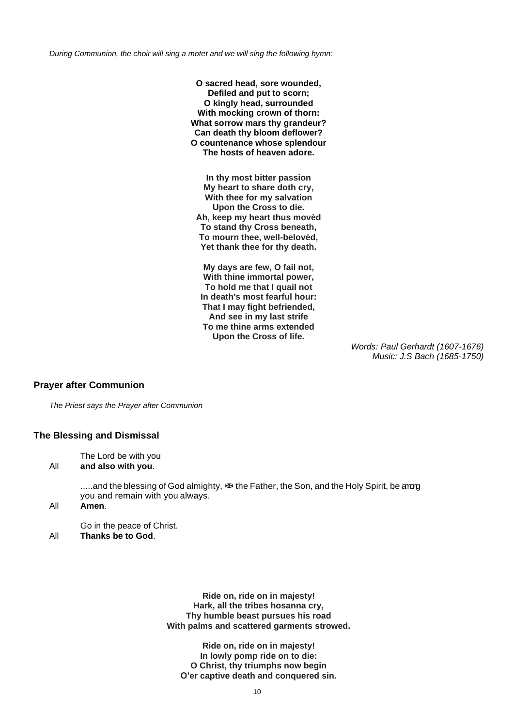*During Communion, the choir will sing a motet and we will sing the following hymn:*

**O sacred head, sore wounded, Defiled and put to scorn; O kingly head, surrounded With mocking crown of thorn: What sorrow mars thy grandeur? Can death thy bloom deflower? O countenance whose splendour The hosts of heaven adore.** 

**In thy most bitter passion My heart to share doth cry, With thee for my salvation Upon the Cross to die. Ah, keep my heart thus movèd To stand thy Cross beneath, To mourn thee, well-belovèd, Yet thank thee for thy death.**

**My days are few, O fail not, With thine immortal power, To hold me that I quail not In death's most fearful hour: That I may fight befriended, And see in my last strife To me thine arms extended Upon the Cross of life.**

> *Words: Paul Gerhardt (1607-1676) Music: J.S Bach (1685-1750)*

#### **Prayer after Communion**

*The Priest says the Prayer after Communion*

#### **The Blessing and Dismissal**

The Lord be with you

# All **and also with you**.

.....and the blessing of God almighty,  $\blacktriangleright$  the Father, the Son, and the Holy Spirit, be among you and remain with you always.

All **Amen**.

Go in the peace of Christ.

All **Thanks be to God**.

**Ride on, ride on in majesty! Hark, all the tribes hosanna cry, Thy humble beast pursues his road With palms and scattered garments strowed.**

**Ride on, ride on in majesty! In lowly pomp ride on to die: O Christ, thy triumphs now begin O'er captive death and conquered sin.**